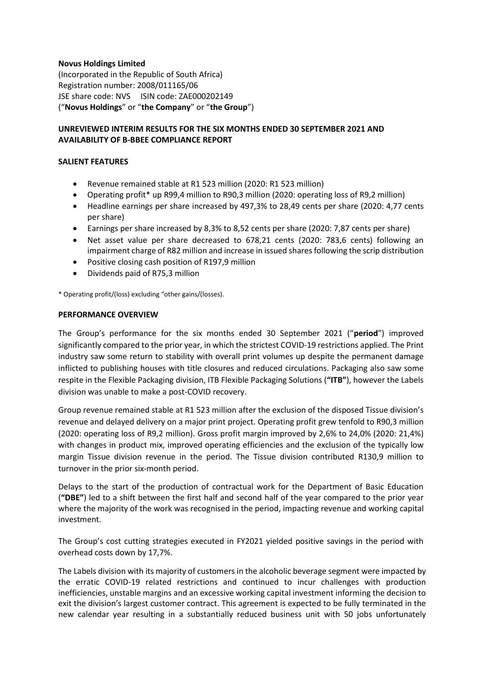### **Novus Holdings Limited**

(Incorporated in the Republic of South Africa) Registration number: 2008/011165/06 JSE share code: NVS ISIN code: ZAE000202149 ("**Novus Holdings**" or "**the Company**" or "**the Group**")

## **UNREVIEWED INTERIM RESULTS FOR THE SIX MONTHS ENDED 30 SEPTEMBER 2021 AND AVAILABILITY OF B-BBEE COMPLIANCE REPORT**

### **SALIENT FEATURES**

- Revenue remained stable at R1 523 million (2020: R1 523 million)
- Operating profit\* up R99,4 million to R90,3 million (2020: operating loss of R9,2 million)
- Headline earnings per share increased by 497,3% to 28,49 cents per share (2020: 4,77 cents per share)
- Earnings per share increased by 8,3% to 8,52 cents per share (2020: 7,87 cents per share)
- Net asset value per share decreased to 678,21 cents (2020: 783,6 cents) following an impairment charge of R82 million and increase in issued shares following the scrip distribution
- Positive closing cash position of R197,9 million
- Dividends paid of R75,3 million

\* Operating profit/(loss) excluding "other gains/(losses).

#### **PERFORMANCE OVERVIEW**

The Group's performance for the six months ended 30 September 2021 ("**period**") improved significantly compared to the prior year, in which the strictest COVID-19 restrictions applied. The Print industry saw some return to stability with overall print volumes up despite the permanent damage inflicted to publishing houses with title closures and reduced circulations. Packaging also saw some respite in the Flexible Packaging division, ITB Flexible Packaging Solutions (**"ITB"**), however the Labels division was unable to make a post-COVID recovery.

Group revenue remained stable at R1 523 million after the exclusion of the disposed Tissue division's revenue and delayed delivery on a major print project. Operating profit grew tenfold to R90,3 million (2020: operating loss of R9,2 million). Gross profit margin improved by 2,6% to 24,0% (2020: 21,4%) with changes in product mix, improved operating efficiencies and the exclusion of the typically low margin Tissue division revenue in the period. The Tissue division contributed R130,9 million to turnover in the prior six-month period.

Delays to the start of the production of contractual work for the Department of Basic Education (**"DBE"**) led to a shift between the first half and second half of the year compared to the prior year where the majority of the work was recognised in the period, impacting revenue and working capital investment.

The Group's cost cutting strategies executed in FY2021 yielded positive savings in the period with overhead costs down by 17,7%.

The Labels division with its majority of customers in the alcoholic beverage segment were impacted by the erratic COVID-19 related restrictions and continued to incur challenges with production inefficiencies, unstable margins and an excessive working capital investment informing the decision to exit the division's largest customer contract. This agreement is expected to be fully terminated in the new calendar year resulting in a substantially reduced business unit with 50 jobs unfortunately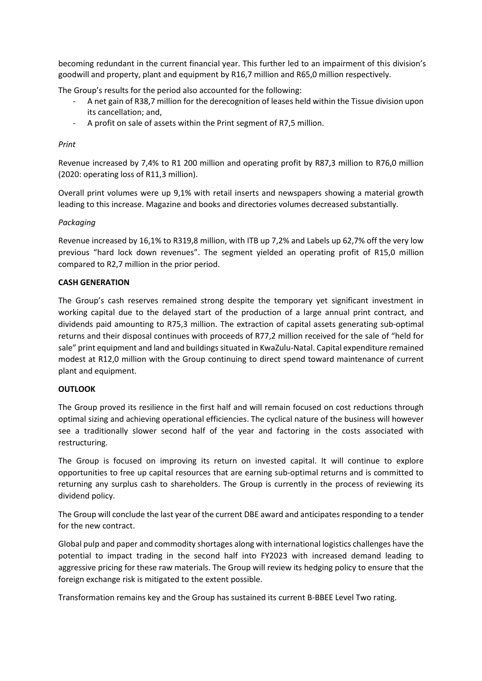becoming redundant in the current financial year. This further led to an impairment of this division's goodwill and property, plant and equipment by R16,7 million and R65,0 million respectively.

The Group's results for the period also accounted for the following:

- A net gain of R38,7 million for the derecognition of leases held within the Tissue division upon its cancellation; and,
- A profit on sale of assets within the Print segment of R7,5 million.

### *Print*

Revenue increased by 7,4% to R1 200 million and operating profit by R87,3 million to R76,0 million (2020: operating loss of R11,3 million).

Overall print volumes were up 9,1% with retail inserts and newspapers showing a material growth leading to this increase. Magazine and books and directories volumes decreased substantially.

### *Packaging*

Revenue increased by 16,1% to R319,8 million, with ITB up 7,2% and Labels up 62,7% off the very low previous "hard lock down revenues". The segment yielded an operating profit of R15,0 million compared to R2,7 million in the prior period.

## **CASH GENERATION**

The Group's cash reserves remained strong despite the temporary yet significant investment in working capital due to the delayed start of the production of a large annual print contract, and dividends paid amounting to R75,3 million. The extraction of capital assets generating sub-optimal returns and their disposal continues with proceeds of R77,2 million received for the sale of "held for sale" print equipment and land and buildings situated in KwaZulu-Natal. Capital expenditure remained modest at R12,0 million with the Group continuing to direct spend toward maintenance of current plant and equipment.

### **OUTLOOK**

The Group proved its resilience in the first half and will remain focused on cost reductions through optimal sizing and achieving operational efficiencies. The cyclical nature of the business will however see a traditionally slower second half of the year and factoring in the costs associated with restructuring.

The Group is focused on improving its return on invested capital. It will continue to explore opportunities to free up capital resources that are earning sub-optimal returns and is committed to returning any surplus cash to shareholders. The Group is currently in the process of reviewing its dividend policy.

The Group will conclude the last year of the current DBE award and anticipates responding to a tender for the new contract.

Global pulp and paper and commodity shortages along with international logistics challenges have the potential to impact trading in the second half into FY2023 with increased demand leading to aggressive pricing for these raw materials. The Group will review its hedging policy to ensure that the foreign exchange risk is mitigated to the extent possible.

Transformation remains key and the Group has sustained its current B-BBEE Level Two rating.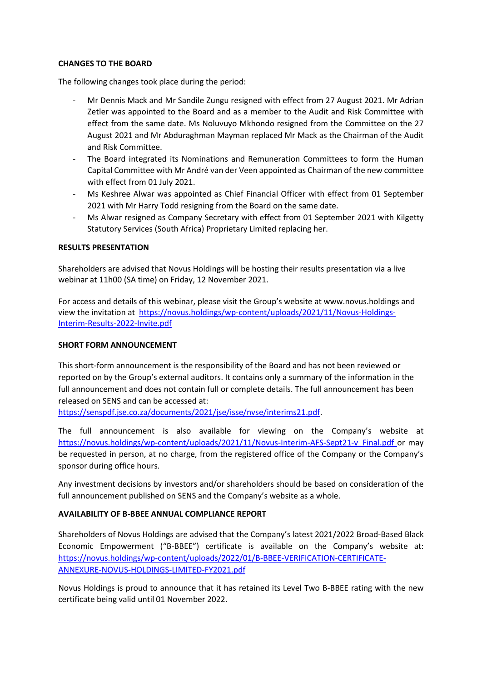### **CHANGES TO THE BOARD**

The following changes took place during the period:

- Mr Dennis Mack and Mr Sandile Zungu resigned with effect from 27 August 2021. Mr Adrian Zetler was appointed to the Board and as a member to the Audit and Risk Committee with effect from the same date. Ms Noluvuyo Mkhondo resigned from the Committee on the 27 August 2021 and Mr Abduraghman Mayman replaced Mr Mack as the Chairman of the Audit and Risk Committee.
- The Board integrated its Nominations and Remuneration Committees to form the Human Capital Committee with Mr André van der Veen appointed as Chairman of the new committee with effect from 01 July 2021.
- Ms Keshree Alwar was appointed as Chief Financial Officer with effect from 01 September 2021 with Mr Harry Todd resigning from the Board on the same date.
- Ms Alwar resigned as Company Secretary with effect from 01 September 2021 with Kilgetty Statutory Services (South Africa) Proprietary Limited replacing her.

## **RESULTS PRESENTATION**

Shareholders are advised that Novus Holdings will be hosting their results presentation via a live webinar at 11h00 (SA time) on Friday, 12 November 2021.

For access and details of this webinar, please visit the Group's website at www.novus.holdings and view the invitation at [https://novus.holdings/wp-content/uploads/2021/11/Novus-Holdings-](https://novus.holdings/wp-content/uploads/2021/11/Novus-Holdings-Interim-Results-2022-Invite.pdf)[Interim-Results-2022-Invite.pdf](https://novus.holdings/wp-content/uploads/2021/11/Novus-Holdings-Interim-Results-2022-Invite.pdf)

### **SHORT FORM ANNOUNCEMENT**

This short-form announcement is the responsibility of the Board and has not been reviewed or reported on by the Group's external auditors. It contains only a summary of the information in the full announcement and does not contain full or complete details. The full announcement has been released on SENS and can be accessed at:

[https://senspdf.jse.co.za/documents/2021/jse/isse/nvse/interims21.pdf.](https://senspdf.jse.co.za/documents/2021/jse/isse/nvse/interims21.pdf)

The full announcement is also available for viewing on the Company's website at [https://novus.holdings/wp-content/uploads/2021/11/Novus-Interim-AFS-Sept21-v\\_Final.pdf](https://novus.holdings/wp-content/uploads/2021/11/Novus-Interim-AFS-Sept21-v_Final.pdf) or may be requested in person, at no charge, from the registered office of the Company or the Company's sponsor during office hours.

Any investment decisions by investors and/or shareholders should be based on consideration of the full announcement published on SENS and the Company's website as a whole.

# **AVAILABILITY OF B-BBEE ANNUAL COMPLIANCE REPORT**

Shareholders of Novus Holdings are advised that the Company's latest 2021/2022 Broad-Based Black Economic Empowerment ("B-BBEE") certificate is available on the Company's website at: [https://novus.holdings/wp-content/uploads/2022/01/B-BBEE-VERIFICATION-CERTIFICATE-](https://novus.holdings/wp-content/uploads/2022/01/B-BBEE-VERIFICATION-CERTIFICATE-ANNEXURE-NOVUS-HOLDINGS-LIMITED-FY2021.pdf)[ANNEXURE-NOVUS-HOLDINGS-LIMITED-FY2021.pdf](https://novus.holdings/wp-content/uploads/2022/01/B-BBEE-VERIFICATION-CERTIFICATE-ANNEXURE-NOVUS-HOLDINGS-LIMITED-FY2021.pdf)

Novus Holdings is proud to announce that it has retained its Level Two B-BBEE rating with the new certificate being valid until 01 November 2022.